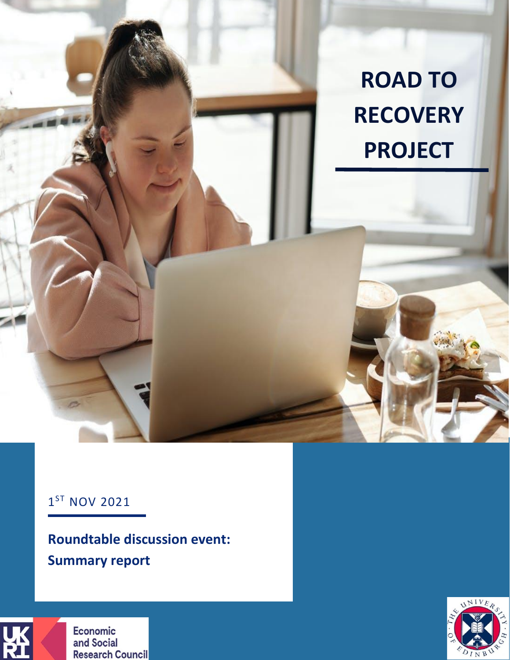

### 1<sup>ST</sup> NOV 2021

**Roundtable discussion event: Summary report** 



Economic and Social **Research Council** 

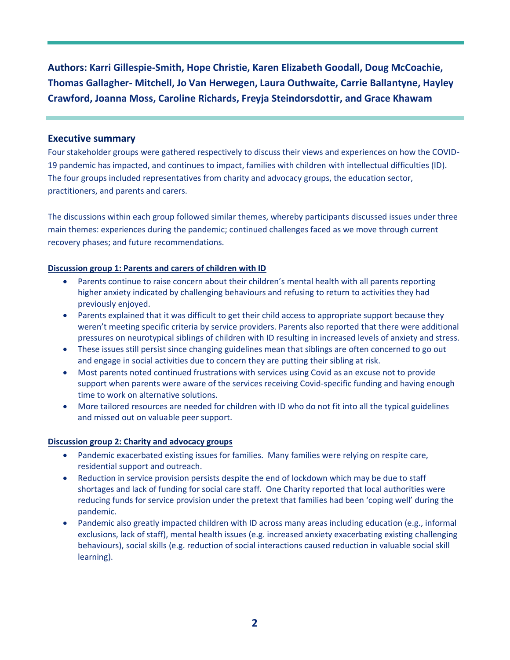**Authors: Karri Gillespie-Smith, Hope Christie, Karen Elizabeth Goodall, Doug McCoachie, Thomas Gallagher- Mitchell, Jo Van Herwegen, Laura Outhwaite, Carrie Ballantyne, Hayley Crawford, Joanna Moss, Caroline Richards, Freyja Steindorsdottir, and Grace Khawam** 

#### **Executive summary**

Four stakeholder groups were gathered respectively to discuss their views and experiences on how the COVID-19 pandemic has impacted, and continues to impact, families with children with intellectual difficulties (ID). The four groups included representatives from charity and advocacy groups, the education sector, practitioners, and parents and carers.

The discussions within each group followed similar themes, whereby participants discussed issues under three main themes: experiences during the pandemic; continued challenges faced as we move through current recovery phases; and future recommendations.

#### **Discussion group 1: Parents and carers of children with ID**

- Parents continue to raise concern about their children's mental health with all parents reporting higher anxiety indicated by challenging behaviours and refusing to return to activities they had previously enjoyed.
- Parents explained that it was difficult to get their child access to appropriate support because they weren't meeting specific criteria by service providers. Parents also reported that there were additional pressures on neurotypical siblings of children with ID resulting in increased levels of anxiety and stress.
- These issues still persist since changing guidelines mean that siblings are often concerned to go out and engage in social activities due to concern they are putting their sibling at risk.
- Most parents noted continued frustrations with services using Covid as an excuse not to provide support when parents were aware of the services receiving Covid-specific funding and having enough time to work on alternative solutions.
- More tailored resources are needed for children with ID who do not fit into all the typical guidelines and missed out on valuable peer support.

#### **Discussion group 2: Charity and advocacy groups**

- Pandemic exacerbated existing issues for families. Many families were relying on respite care, residential support and outreach.
- Reduction in service provision persists despite the end of lockdown which may be due to staff shortages and lack of funding for social care staff. One Charity reported that local authorities were reducing funds for service provision under the pretext that families had been 'coping well' during the pandemic.
- Pandemic also greatly impacted children with ID across many areas including education (e.g., informal exclusions, lack of staff), mental health issues (e.g. increased anxiety exacerbating existing challenging behaviours), social skills (e.g. reduction of social interactions caused reduction in valuable social skill learning).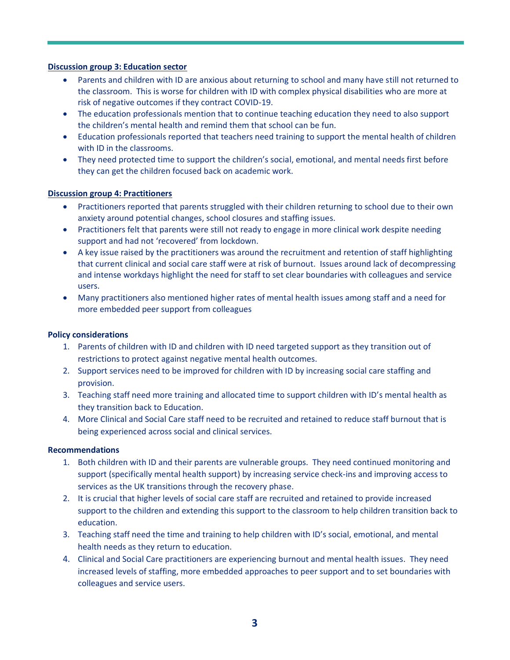#### **Discussion group 3: Education sector**

- Parents and children with ID are anxious about returning to school and many have still not returned to the classroom. This is worse for children with ID with complex physical disabilities who are more at risk of negative outcomes if they contract COVID-19.
- The education professionals mention that to continue teaching education they need to also support the children's mental health and remind them that school can be fun.
- Education professionals reported that teachers need training to support the mental health of children with ID in the classrooms.
- They need protected time to support the children's social, emotional, and mental needs first before they can get the children focused back on academic work.

#### **Discussion group 4: Practitioners**

- Practitioners reported that parents struggled with their children returning to school due to their own anxiety around potential changes, school closures and staffing issues.
- Practitioners felt that parents were still not ready to engage in more clinical work despite needing support and had not 'recovered' from lockdown.
- A key issue raised by the practitioners was around the recruitment and retention of staff highlighting that current clinical and social care staff were at risk of burnout. Issues around lack of decompressing and intense workdays highlight the need for staff to set clear boundaries with colleagues and service users.
- Many practitioners also mentioned higher rates of mental health issues among staff and a need for more embedded peer support from colleagues

#### **Policy considerations**

- 1. Parents of children with ID and children with ID need targeted support as they transition out of restrictions to protect against negative mental health outcomes.
- 2. Support services need to be improved for children with ID by increasing social care staffing and provision.
- 3. Teaching staff need more training and allocated time to support children with ID's mental health as they transition back to Education.
- 4. More Clinical and Social Care staff need to be recruited and retained to reduce staff burnout that is being experienced across social and clinical services.

#### **Recommendations**

- 1. Both children with ID and their parents are vulnerable groups. They need continued monitoring and support (specifically mental health support) by increasing service check-ins and improving access to services as the UK transitions through the recovery phase.
- 2. It is crucial that higher levels of social care staff are recruited and retained to provide increased support to the children and extending this support to the classroom to help children transition back to education.
- 3. Teaching staff need the time and training to help children with ID's social, emotional, and mental health needs as they return to education.
- 4. Clinical and Social Care practitioners are experiencing burnout and mental health issues. They need increased levels of staffing, more embedded approaches to peer support and to set boundaries with colleagues and service users.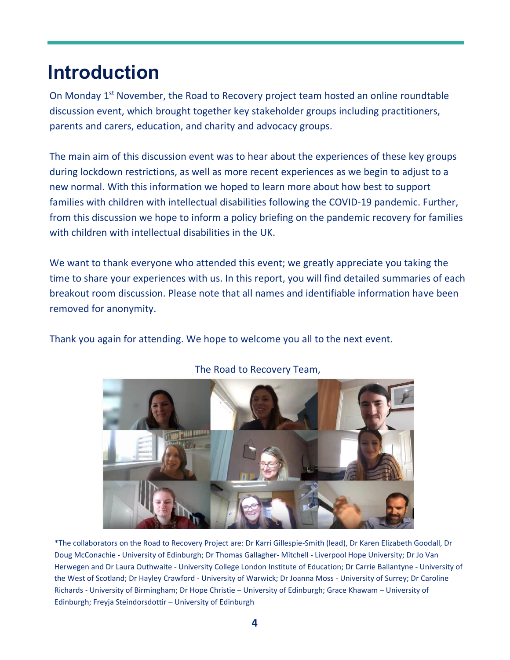## **Introduction**

On Monday 1<sup>st</sup> November, the Road to Recovery project team hosted an online roundtable discussion event, which brought together key stakeholder groups including practitioners, parents and carers, education, and charity and advocacy groups.

The main aim of this discussion event was to hear about the experiences of these key groups during lockdown restrictions, as well as more recent experiences as we begin to adjust to a new normal. With this information we hoped to learn more about how best to support families with children with intellectual disabilities following the COVID-19 pandemic. Further, from this discussion we hope to inform a policy briefing on the pandemic recovery for families with children with intellectual disabilities in the UK.

We want to thank everyone who attended this event; we greatly appreciate you taking the time to share your experiences with us. In this report, you will find detailed summaries of each breakout room discussion. Please note that all names and identifiable information have been removed for anonymity.

Thank you again for attending. We hope to welcome you all to the next event.



#### The Road to Recovery Team,

\*The collaborators on the Road to Recovery Project are: Dr Karri Gillespie-Smith (lead), Dr Karen Elizabeth Goodall, Dr Doug McConachie - University of Edinburgh; Dr Thomas Gallagher- Mitchell - Liverpool Hope University; Dr Jo Van Herwegen and Dr Laura Outhwaite - University College London Institute of Education; Dr Carrie Ballantyne - University of the West of Scotland; Dr Hayley Crawford - University of Warwick; Dr Joanna Moss - University of Surrey; Dr Caroline Richards - University of Birmingham; Dr Hope Christie – University of Edinburgh; Grace Khawam – University of Edinburgh; Freyja Steindorsdottir – University of Edinburgh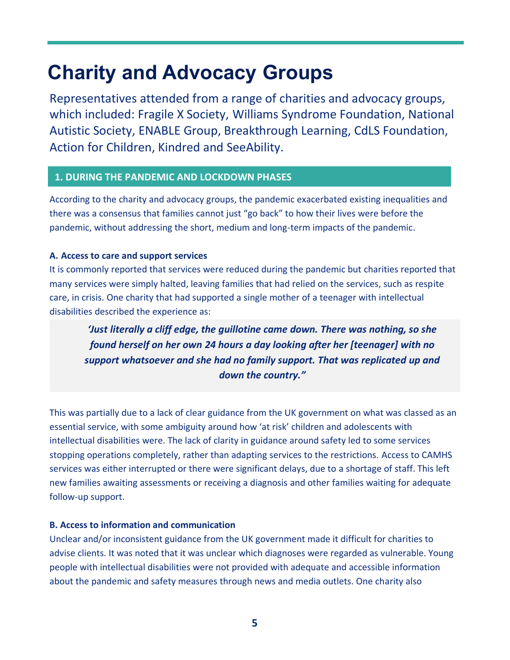## **Charity and Advocacy Groups**

Representatives attended from a range of charities and advocacy groups, which included: Fragile X Society, Williams Syndrome Foundation, National Autistic Society, ENABLE Group, Breakthrough Learning, CdLS Foundation, Action for Children, Kindred and SeeAbility.

#### **1. DURING THE PANDEMIC AND LOCKDOWN PHASES**

According to the charity and advocacy groups, the pandemic exacerbated existing inequalities and there was a consensus that families cannot just "go back" to how their lives were before the pandemic, without addressing the short, medium and long-term impacts of the pandemic.

#### **A. Access to care and support services**

It is commonly reported that services were reduced during the pandemic but charities reported that many services were simply halted, leaving families that had relied on the services, such as respite care, in crisis. One charity that had supported a single mother of a teenager with intellectual disabilities described the experience as:

*'Just literally a cliff edge, the guillotine came down. There was nothing, so she found herself on her own 24 hours a day looking after her [teenager] with no support whatsoever and she had no family support. That was replicated up and down the country."*

This was partially due to a lack of clear guidance from the UK government on what was classed as an essential service, with some ambiguity around how 'at risk' children and adolescents with intellectual disabilities were. The lack of clarity in guidance around safety led to some services stopping operations completely, rather than adapting services to the restrictions. Access to CAMHS services was either interrupted or there were significant delays, due to a shortage of staff. This left new families awaiting assessments or receiving a diagnosis and other families waiting for adequate follow-up support.

#### **B. Access to information and communication**

Unclear and/or inconsistent guidance from the UK government made it difficult for charities to advise clients. It was noted that it was unclear which diagnoses were regarded as vulnerable. Young people with intellectual disabilities were not provided with adequate and accessible information about the pandemic and safety measures through news and media outlets. One charity also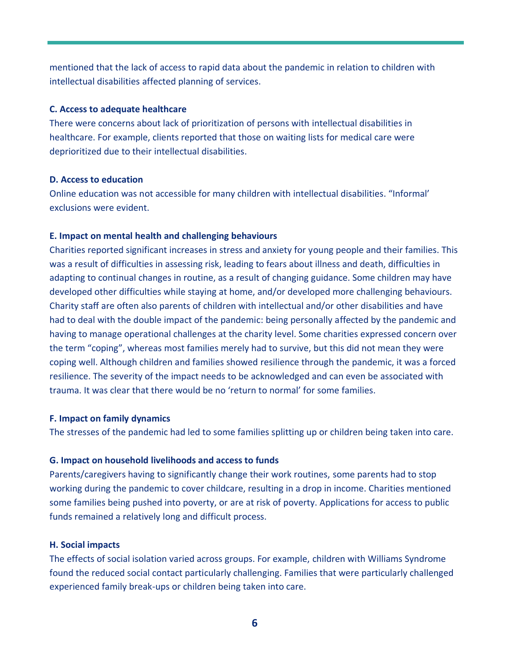mentioned that the lack of access to rapid data about the pandemic in relation to children with intellectual disabilities affected planning of services.

#### **C. Access to adequate healthcare**

There were concerns about lack of prioritization of persons with intellectual disabilities in healthcare. For example, clients reported that those on waiting lists for medical care were deprioritized due to their intellectual disabilities.

#### **D. Access to education**

Online education was not accessible for many children with intellectual disabilities. "Informal' exclusions were evident.

#### **E. Impact on mental health and challenging behaviours**

Charities reported significant increases in stress and anxiety for young people and their families. This was a result of difficulties in assessing risk, leading to fears about illness and death, difficulties in adapting to continual changes in routine, as a result of changing guidance. Some children may have developed other difficulties while staying at home, and/or developed more challenging behaviours. Charity staff are often also parents of children with intellectual and/or other disabilities and have had to deal with the double impact of the pandemic: being personally affected by the pandemic and having to manage operational challenges at the charity level. Some charities expressed concern over the term "coping", whereas most families merely had to survive, but this did not mean they were coping well. Although children and families showed resilience through the pandemic, it was a forced resilience. The severity of the impact needs to be acknowledged and can even be associated with trauma. It was clear that there would be no 'return to normal' for some families.

#### **F. Impact on family dynamics**

The stresses of the pandemic had led to some families splitting up or children being taken into care.

#### **G. Impact on household livelihoods and access to funds**

Parents/caregivers having to significantly change their work routines, some parents had to stop working during the pandemic to cover childcare, resulting in a drop in income. Charities mentioned some families being pushed into poverty, or are at risk of poverty. Applications for access to public funds remained a relatively long and difficult process.

#### **H. Social impacts**

The effects of social isolation varied across groups. For example, children with Williams Syndrome found the reduced social contact particularly challenging. Families that were particularly challenged experienced family break-ups or children being taken into care.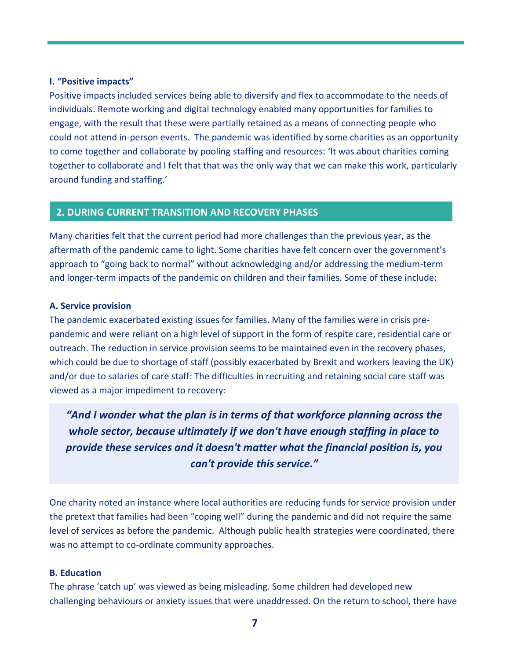#### **I. "Positive impacts"**

Positive impacts included services being able to diversify and flex to accommodate to the needs of individuals. Remote working and digital technology enabled many opportunities for families to engage, with the result that these were partially retained as a means of connecting people who could not attend in-person events. The pandemic was identified by some charities as an opportunity to come together and collaborate by pooling staffing and resources: 'It was about charities coming together to collaborate and I felt that that was the only way that we can make this work, particularly around funding and staffing.'

#### **2. DURING CURRENT TRANSITION AND RECOVERY PHASES**

Many charities felt that the current period had more challenges than the previous year, as the aftermath of the pandemic came to light. Some charities have felt concern over the government's approach to "going back to normal" without acknowledging and/or addressing the medium-term and longer-term impacts of the pandemic on children and their families. Some of these include:

#### **A. Service provision**

The pandemic exacerbated existing issues for families. Many of the families were in crisis prepandemic and were reliant on a high level of support in the form of respite care, residential care or outreach. The reduction in service provision seems to be maintained even in the recovery phases, which could be due to shortage of staff (possibly exacerbated by Brexit and workers leaving the UK) and/or due to salaries of care staff: The difficulties in recruiting and retaining social care staff was viewed as a major impediment to recovery:

*"And I wonder what the plan is in terms of that workforce planning across the whole sector, because ultimately if we don't have enough staffing in place to provide these services and it doesn't matter what the financial position is, you can't provide this service."*

One charity noted an instance where local authorities are reducing funds for service provision under the pretext that families had been "coping well" during the pandemic and did not require the same level of services as before the pandemic. Although public health strategies were coordinated, there was no attempt to co-ordinate community approaches.

#### **B. Education**

The phrase 'catch up' was viewed as being misleading. Some children had developed new challenging behaviours or anxiety issues that were unaddressed. On the return to school, there have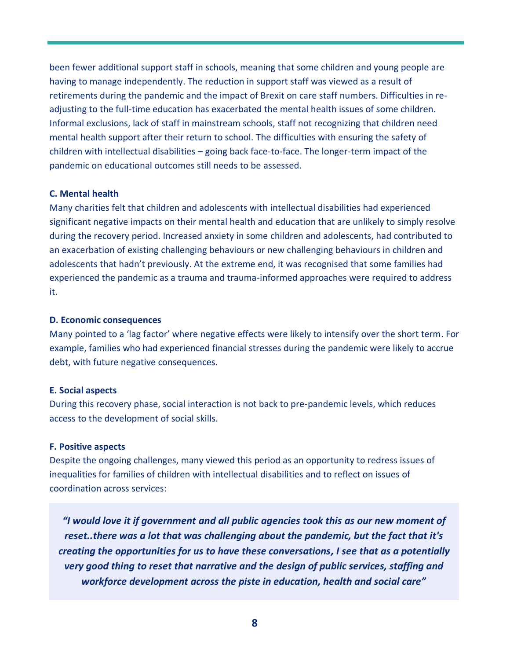been fewer additional support staff in schools, meaning that some children and young people are having to manage independently. The reduction in support staff was viewed as a result of retirements during the pandemic and the impact of Brexit on care staff numbers. Difficulties in readjusting to the full-time education has exacerbated the mental health issues of some children. Informal exclusions, lack of staff in mainstream schools, staff not recognizing that children need mental health support after their return to school. The difficulties with ensuring the safety of children with intellectual disabilities – going back face-to-face. The longer-term impact of the pandemic on educational outcomes still needs to be assessed.

#### **C. Mental health**

Many charities felt that children and adolescents with intellectual disabilities had experienced significant negative impacts on their mental health and education that are unlikely to simply resolve during the recovery period. Increased anxiety in some children and adolescents, had contributed to an exacerbation of existing challenging behaviours or new challenging behaviours in children and adolescents that hadn't previously. At the extreme end, it was recognised that some families had experienced the pandemic as a trauma and trauma-informed approaches were required to address it.

#### **D. Economic consequences**

Many pointed to a 'lag factor' where negative effects were likely to intensify over the short term. For example, families who had experienced financial stresses during the pandemic were likely to accrue debt, with future negative consequences.

#### **E. Social aspects**

During this recovery phase, social interaction is not back to pre-pandemic levels, which reduces access to the development of social skills.

#### **F. Positive aspects**

Despite the ongoing challenges, many viewed this period as an opportunity to redress issues of inequalities for families of children with intellectual disabilities and to reflect on issues of coordination across services:

*"I would love it if government and all public agencies took this as our new moment of reset..there was a lot that was challenging about the pandemic, but the fact that it's creating the opportunities for us to have these conversations, I see that as a potentially very good thing to reset that narrative and the design of public services, staffing and workforce development across the piste in education, health and social care"*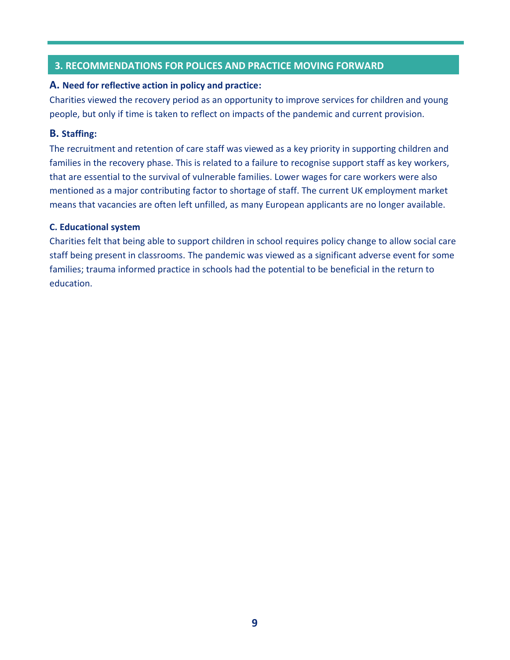#### **3. RECOMMENDATIONS FOR POLICES AND PRACTICE MOVING FORWARD**

#### **A. Need for reflective action in policy and practice:**

Charities viewed the recovery period as an opportunity to improve services for children and young people, but only if time is taken to reflect on impacts of the pandemic and current provision.

#### **B. Staffing:**

The recruitment and retention of care staff was viewed as a key priority in supporting children and families in the recovery phase. This is related to a failure to recognise support staff as key workers, that are essential to the survival of vulnerable families. Lower wages for care workers were also mentioned as a major contributing factor to shortage of staff. The current UK employment market means that vacancies are often left unfilled, as many European applicants are no longer available.

#### **C. Educational system**

Charities felt that being able to support children in school requires policy change to allow social care staff being present in classrooms. The pandemic was viewed as a significant adverse event for some families; trauma informed practice in schools had the potential to be beneficial in the return to education.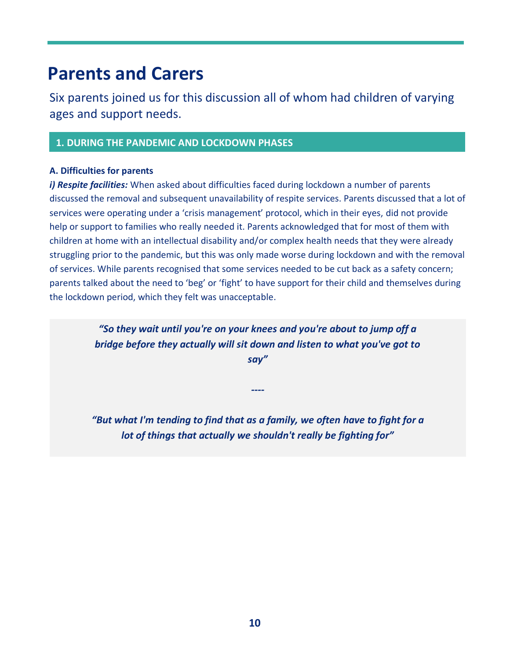### **Parents and Carers**

Six parents joined us for this discussion all of whom had children of varying ages and support needs.

#### **1. DURING THE PANDEMIC AND LOCKDOWN PHASES**

#### **A. Difficulties for parents**

*i) Respite facilities:* When asked about difficulties faced during lockdown a number of parents discussed the removal and subsequent unavailability of respite services. Parents discussed that a lot of services were operating under a 'crisis management' protocol, which in their eyes, did not provide help or support to families who really needed it. Parents acknowledged that for most of them with children at home with an intellectual disability and/or complex health needs that they were already struggling prior to the pandemic, but this was only made worse during lockdown and with the removal of services. While parents recognised that some services needed to be cut back as a safety concern; parents talked about the need to 'beg' or 'fight' to have support for their child and themselves during the lockdown period, which they felt was unacceptable.

> *"So they wait until you're on your knees and you're about to jump off a bridge before they actually will sit down and listen to what you've got to say"*

*"But what I'm tending to find that as a family, we often have to fight for a lot of things that actually we shouldn't really be fighting for"*

*----*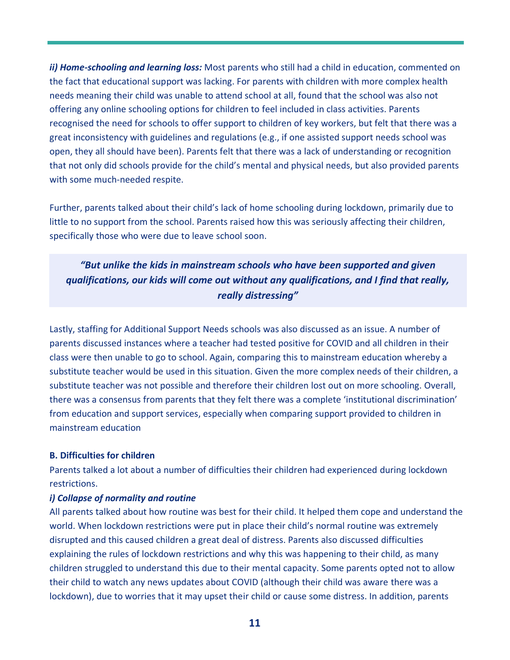*ii) Home-schooling and learning loss:* Most parents who still had a child in education, commented on the fact that educational support was lacking. For parents with children with more complex health needs meaning their child was unable to attend school at all, found that the school was also not offering any online schooling options for children to feel included in class activities. Parents recognised the need for schools to offer support to children of key workers, but felt that there was a great inconsistency with guidelines and regulations (e.g., if one assisted support needs school was open, they all should have been). Parents felt that there was a lack of understanding or recognition that not only did schools provide for the child's mental and physical needs, but also provided parents with some much-needed respite.

Further, parents talked about their child's lack of home schooling during lockdown, primarily due to little to no support from the school. Parents raised how this was seriously affecting their children, specifically those who were due to leave school soon.

*"But unlike the kids in mainstream schools who have been supported and given qualifications, our kids will come out without any qualifications, and I find that really, really distressing"* 

Lastly, staffing for Additional Support Needs schools was also discussed as an issue. A number of parents discussed instances where a teacher had tested positive for COVID and all children in their class were then unable to go to school. Again, comparing this to mainstream education whereby a substitute teacher would be used in this situation. Given the more complex needs of their children, a substitute teacher was not possible and therefore their children lost out on more schooling. Overall, there was a consensus from parents that they felt there was a complete 'institutional discrimination' from education and support services, especially when comparing support provided to children in mainstream education

#### **B. Difficulties for children**

Parents talked a lot about a number of difficulties their children had experienced during lockdown restrictions.

#### *i) Collapse of normality and routine*

All parents talked about how routine was best for their child. It helped them cope and understand the world. When lockdown restrictions were put in place their child's normal routine was extremely disrupted and this caused children a great deal of distress. Parents also discussed difficulties explaining the rules of lockdown restrictions and why this was happening to their child, as many children struggled to understand this due to their mental capacity. Some parents opted not to allow their child to watch any news updates about COVID (although their child was aware there was a lockdown), due to worries that it may upset their child or cause some distress. In addition, parents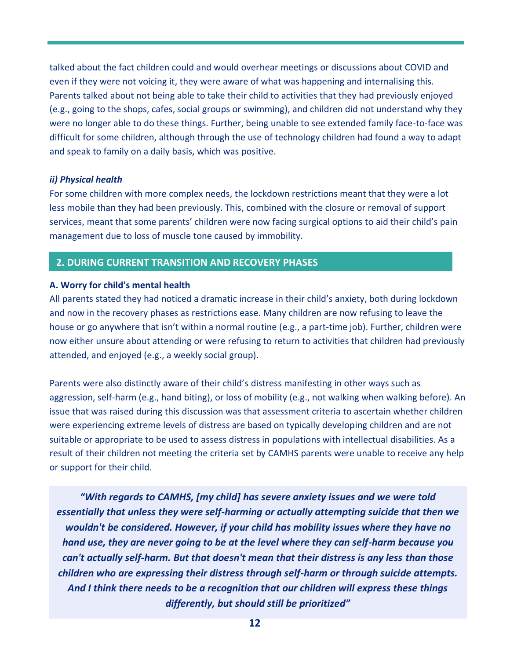talked about the fact children could and would overhear meetings or discussions about COVID and even if they were not voicing it, they were aware of what was happening and internalising this. Parents talked about not being able to take their child to activities that they had previously enjoyed (e.g., going to the shops, cafes, social groups or swimming), and children did not understand why they were no longer able to do these things. Further, being unable to see extended family face-to-face was difficult for some children, although through the use of technology children had found a way to adapt and speak to family on a daily basis, which was positive.

#### *ii) Physical health*

For some children with more complex needs, the lockdown restrictions meant that they were a lot less mobile than they had been previously. This, combined with the closure or removal of support services, meant that some parents' children were now facing surgical options to aid their child's pain management due to loss of muscle tone caused by immobility.

#### **2. DURING CURRENT TRANSITION AND RECOVERY PHASES**

#### **A. Worry for child's mental health**

All parents stated they had noticed a dramatic increase in their child's anxiety, both during lockdown and now in the recovery phases as restrictions ease. Many children are now refusing to leave the house or go anywhere that isn't within a normal routine (e.g., a part-time job). Further, children were now either unsure about attending or were refusing to return to activities that children had previously attended, and enjoyed (e.g., a weekly social group).

Parents were also distinctly aware of their child's distress manifesting in other ways such as aggression, self-harm (e.g., hand biting), or loss of mobility (e.g., not walking when walking before). An issue that was raised during this discussion was that assessment criteria to ascertain whether children were experiencing extreme levels of distress are based on typically developing children and are not suitable or appropriate to be used to assess distress in populations with intellectual disabilities. As a result of their children not meeting the criteria set by CAMHS parents were unable to receive any help or support for their child.

*"With regards to CAMHS, [my child] has severe anxiety issues and we were told essentially that unless they were self-harming or actually attempting suicide that then we wouldn't be considered. However, if your child has mobility issues where they have no hand use, they are never going to be at the level where they can self-harm because you can't actually self-harm. But that doesn't mean that their distress is any less than those children who are expressing their distress through self-harm or through suicide attempts. And I think there needs to be a recognition that our children will express these things differently, but should still be prioritized"*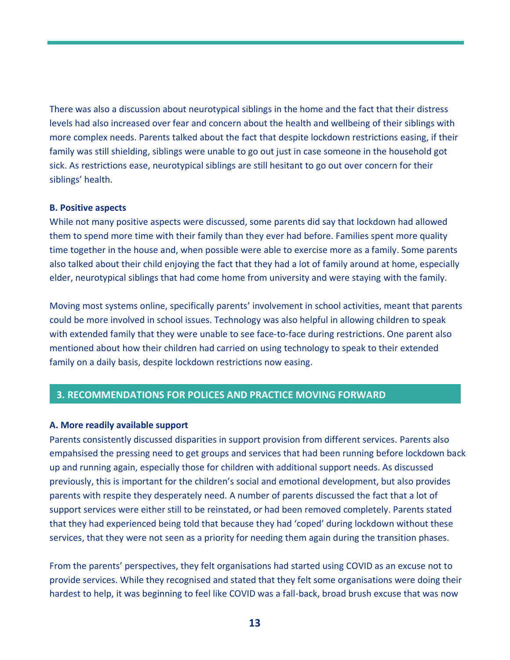There was also a discussion about neurotypical siblings in the home and the fact that their distress levels had also increased over fear and concern about the health and wellbeing of their siblings with more complex needs. Parents talked about the fact that despite lockdown restrictions easing, if their family was still shielding, siblings were unable to go out just in case someone in the household got sick. As restrictions ease, neurotypical siblings are still hesitant to go out over concern for their siblings' health.

#### **B. Positive aspects**

While not many positive aspects were discussed, some parents did say that lockdown had allowed them to spend more time with their family than they ever had before. Families spent more quality time together in the house and, when possible were able to exercise more as a family. Some parents also talked about their child enjoying the fact that they had a lot of family around at home, especially elder, neurotypical siblings that had come home from university and were staying with the family.

Moving most systems online, specifically parents' involvement in school activities, meant that parents could be more involved in school issues. Technology was also helpful in allowing children to speak with extended family that they were unable to see face-to-face during restrictions. One parent also mentioned about how their children had carried on using technology to speak to their extended family on a daily basis, despite lockdown restrictions now easing.

#### **3. RECOMMENDATIONS FOR POLICES AND PRACTICE MOVING FORWARD**

#### **A. More readily available support**

Parents consistently discussed disparities in support provision from different services. Parents also empahsised the pressing need to get groups and services that had been running before lockdown back up and running again, especially those for children with additional support needs. As discussed previously, this is important for the children's social and emotional development, but also provides parents with respite they desperately need. A number of parents discussed the fact that a lot of support services were either still to be reinstated, or had been removed completely. Parents stated that they had experienced being told that because they had 'coped' during lockdown without these services, that they were not seen as a priority for needing them again during the transition phases.

From the parents' perspectives, they felt organisations had started using COVID as an excuse not to provide services. While they recognised and stated that they felt some organisations were doing their hardest to help, it was beginning to feel like COVID was a fall-back, broad brush excuse that was now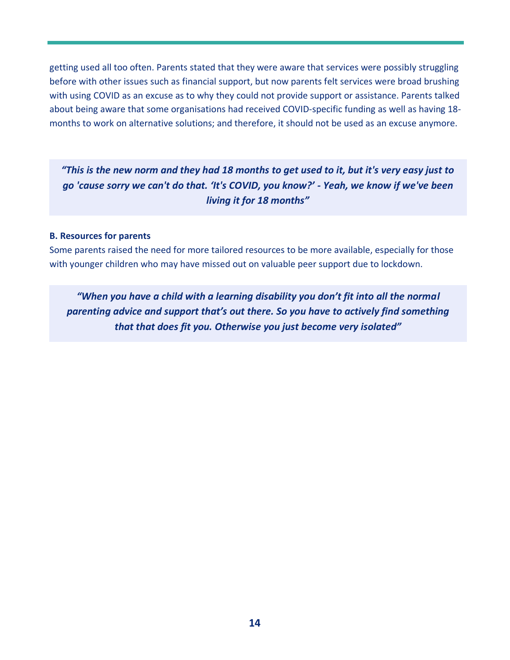getting used all too often. Parents stated that they were aware that services were possibly struggling before with other issues such as financial support, but now parents felt services were broad brushing with using COVID as an excuse as to why they could not provide support or assistance. Parents talked about being aware that some organisations had received COVID-specific funding as well as having 18 months to work on alternative solutions; and therefore, it should not be used as an excuse anymore.

*"This is the new norm and they had 18 months to get used to it, but it's very easy just to go 'cause sorry we can't do that. 'It's COVID, you know?' - Yeah, we know if we've been living it for 18 months"* 

#### **B. Resources for parents**

Some parents raised the need for more tailored resources to be more available, especially for those with younger children who may have missed out on valuable peer support due to lockdown.

*"When you have a child with a learning disability you don't fit into all the normal parenting advice and support that's out there. So you have to actively find something that that does fit you. Otherwise you just become very isolated"*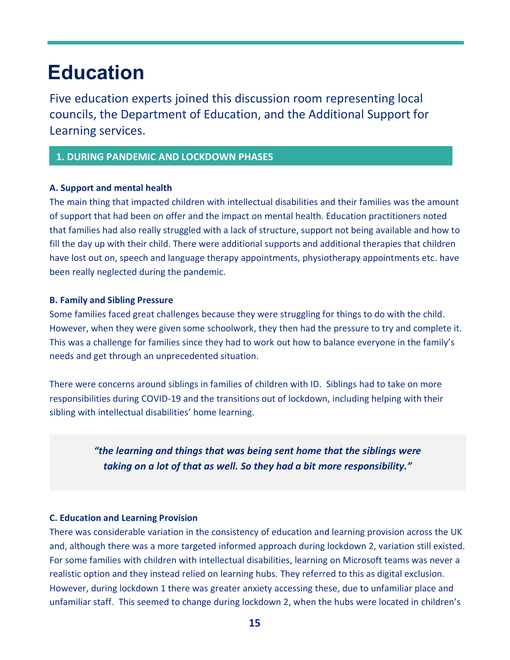## **Education**

Five education experts joined this discussion room representing local councils, the Department of Education, and the Additional Support for Learning services.

#### **1. DURING PANDEMIC AND LOCKDOWN PHASES**

#### **A. Support and mental health**

The main thing that impacted children with intellectual disabilities and their families was the amount of support that had been on offer and the impact on mental health. Education practitioners noted that families had also really struggled with a lack of structure, support not being available and how to fill the day up with their child. There were additional supports and additional therapies that children have lost out on, speech and language therapy appointments, physiotherapy appointments etc. have been really neglected during the pandemic.

#### **B. Family and Sibling Pressure**

Some families faced great challenges because they were struggling for things to do with the child. However, when they were given some schoolwork, they then had the pressure to try and complete it. This was a challenge for families since they had to work out how to balance everyone in the family's needs and get through an unprecedented situation.

There were concerns around siblings in families of children with ID. Siblings had to take on more responsibilities during COVID-19 and the transitions out of lockdown, including helping with their sibling with intellectual disabilities' home learning.

> *"the learning and things that was being sent home that the siblings were taking on a lot of that as well. So they had a bit more responsibility."*

#### **C. Education and Learning Provision**

There was considerable variation in the consistency of education and learning provision across the UK and, although there was a more targeted informed approach during lockdown 2, variation still existed. For some families with children with intellectual disabilities, learning on Microsoft teams was never a realistic option and they instead relied on learning hubs. They referred to this as digital exclusion. However, during lockdown 1 there was greater anxiety accessing these, due to unfamiliar place and unfamiliar staff. This seemed to change during lockdown 2, when the hubs were located in children's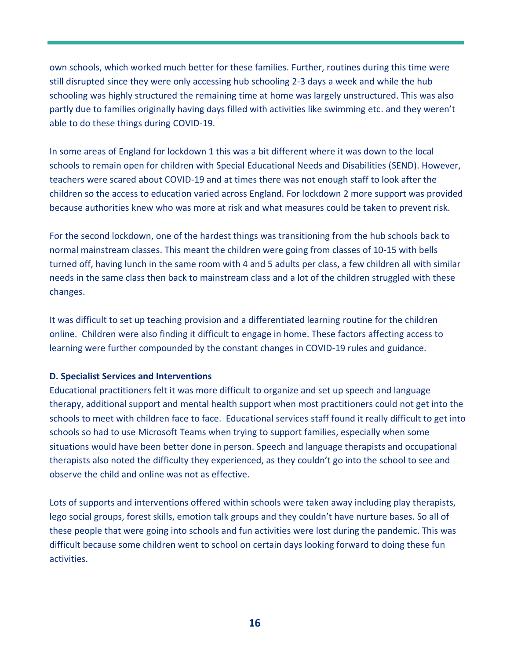own schools, which worked much better for these families. Further, routines during this time were still disrupted since they were only accessing hub schooling 2-3 days a week and while the hub schooling was highly structured the remaining time at home was largely unstructured. This was also partly due to families originally having days filled with activities like swimming etc. and they weren't able to do these things during COVID-19.

In some areas of England for lockdown 1 this was a bit different where it was down to the local schools to remain open for children with Special Educational Needs and Disabilities (SEND). However, teachers were scared about COVID-19 and at times there was not enough staff to look after the children so the access to education varied across England. For lockdown 2 more support was provided because authorities knew who was more at risk and what measures could be taken to prevent risk.

For the second lockdown, one of the hardest things was transitioning from the hub schools back to normal mainstream classes. This meant the children were going from classes of 10-15 with bells turned off, having lunch in the same room with 4 and 5 adults per class, a few children all with similar needs in the same class then back to mainstream class and a lot of the children struggled with these changes.

It was difficult to set up teaching provision and a differentiated learning routine for the children online. Children were also finding it difficult to engage in home. These factors affecting access to learning were further compounded by the constant changes in COVID-19 rules and guidance.

#### **D. Specialist Services and Interventions**

Educational practitioners felt it was more difficult to organize and set up speech and language therapy, additional support and mental health support when most practitioners could not get into the schools to meet with children face to face. Educational services staff found it really difficult to get into schools so had to use Microsoft Teams when trying to support families, especially when some situations would have been better done in person. Speech and language therapists and occupational therapists also noted the difficulty they experienced, as they couldn't go into the school to see and observe the child and online was not as effective.

Lots of supports and interventions offered within schools were taken away including play therapists, lego social groups, forest skills, emotion talk groups and they couldn't have nurture bases. So all of these people that were going into schools and fun activities were lost during the pandemic. This was difficult because some children went to school on certain days looking forward to doing these fun activities.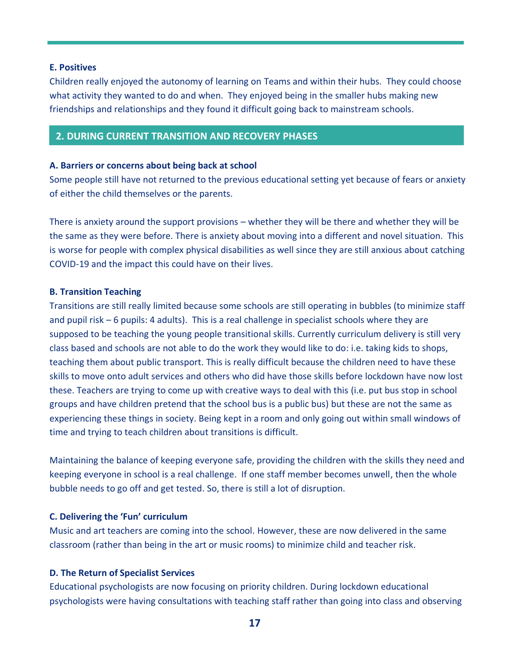#### **E. Positives**

Children really enjoyed the autonomy of learning on Teams and within their hubs. They could choose what activity they wanted to do and when. They enjoyed being in the smaller hubs making new friendships and relationships and they found it difficult going back to mainstream schools.

#### **2. DURING CURRENT TRANSITION AND RECOVERY PHASES**

#### **A. Barriers or concerns about being back at school**

Some people still have not returned to the previous educational setting yet because of fears or anxiety of either the child themselves or the parents.

There is anxiety around the support provisions – whether they will be there and whether they will be the same as they were before. There is anxiety about moving into a different and novel situation. This is worse for people with complex physical disabilities as well since they are still anxious about catching COVID-19 and the impact this could have on their lives.

#### **B. Transition Teaching**

Transitions are still really limited because some schools are still operating in bubbles (to minimize staff and pupil risk – 6 pupils: 4 adults). This is a real challenge in specialist schools where they are supposed to be teaching the young people transitional skills. Currently curriculum delivery is still very class based and schools are not able to do the work they would like to do: i.e. taking kids to shops, teaching them about public transport. This is really difficult because the children need to have these skills to move onto adult services and others who did have those skills before lockdown have now lost these. Teachers are trying to come up with creative ways to deal with this (i.e. put bus stop in school groups and have children pretend that the school bus is a public bus) but these are not the same as experiencing these things in society. Being kept in a room and only going out within small windows of time and trying to teach children about transitions is difficult.

Maintaining the balance of keeping everyone safe, providing the children with the skills they need and keeping everyone in school is a real challenge. If one staff member becomes unwell, then the whole bubble needs to go off and get tested. So, there is still a lot of disruption.

#### **C. Delivering the 'Fun' curriculum**

Music and art teachers are coming into the school. However, these are now delivered in the same classroom (rather than being in the art or music rooms) to minimize child and teacher risk.

#### **D. The Return of Specialist Services**

Educational psychologists are now focusing on priority children. During lockdown educational psychologists were having consultations with teaching staff rather than going into class and observing

**17**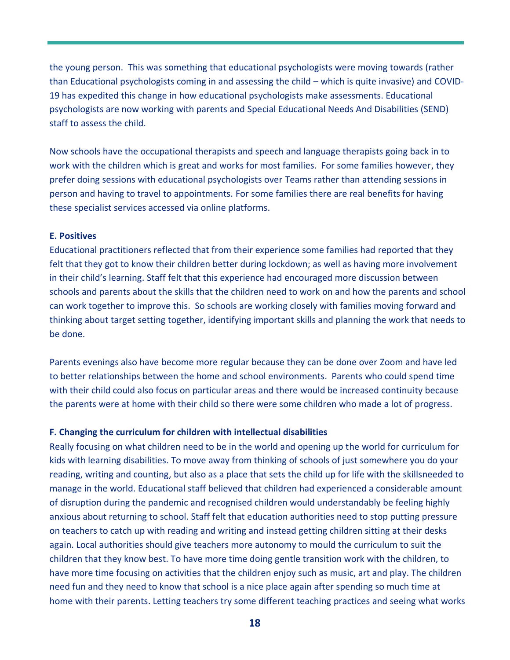the young person. This was something that educational psychologists were moving towards (rather than Educational psychologists coming in and assessing the child – which is quite invasive) and COVID-19 has expedited this change in how educational psychologists make assessments. Educational psychologists are now working with parents and Special Educational Needs And Disabilities (SEND) staff to assess the child.

Now schools have the occupational therapists and speech and language therapists going back in to work with the children which is great and works for most families. For some families however, they prefer doing sessions with educational psychologists over Teams rather than attending sessions in person and having to travel to appointments. For some families there are real benefits for having these specialist services accessed via online platforms.

#### **E. Positives**

Educational practitioners reflected that from their experience some families had reported that they felt that they got to know their children better during lockdown; as well as having more involvement in their child's learning. Staff felt that this experience had encouraged more discussion between schools and parents about the skills that the children need to work on and how the parents and school can work together to improve this. So schools are working closely with families moving forward and thinking about target setting together, identifying important skills and planning the work that needs to be done.

Parents evenings also have become more regular because they can be done over Zoom and have led to better relationships between the home and school environments. Parents who could spend time with their child could also focus on particular areas and there would be increased continuity because the parents were at home with their child so there were some children who made a lot of progress.

#### **F. Changing the curriculum for children with intellectual disabilities**

Really focusing on what children need to be in the world and opening up the world for curriculum for kids with learning disabilities. To move away from thinking of schools of just somewhere you do your reading, writing and counting, but also as a place that sets the child up for life with the skillsneeded to manage in the world. Educational staff believed that children had experienced a considerable amount of disruption during the pandemic and recognised children would understandably be feeling highly anxious about returning to school. Staff felt that education authorities need to stop putting pressure on teachers to catch up with reading and writing and instead getting children sitting at their desks again. Local authorities should give teachers more autonomy to mould the curriculum to suit the children that they know best. To have more time doing gentle transition work with the children, to have more time focusing on activities that the children enjoy such as music, art and play. The children need fun and they need to know that school is a nice place again after spending so much time at home with their parents. Letting teachers try some different teaching practices and seeing what works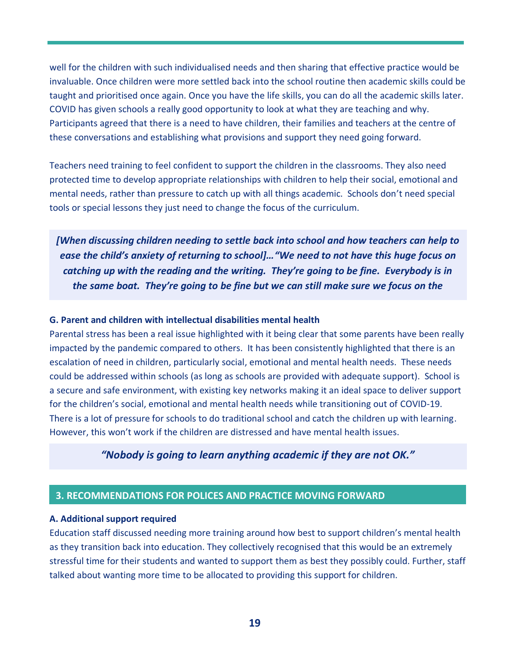well for the children with such individualised needs and then sharing that effective practice would be invaluable. Once children were more settled back into the school routine then academic skills could be taught and prioritised once again. Once you have the life skills, you can do all the academic skills later. COVID has given schools a really good opportunity to look at what they are teaching and why. Participants agreed that there is a need to have children, their families and teachers at the centre of these conversations and establishing what provisions and support they need going forward.

Teachers need training to feel confident to support the children in the classrooms. They also need protected time to develop appropriate relationships with children to help their social, emotional and mental needs, rather than pressure to catch up with all things academic. Schools don't need special tools or special lessons they just need to change the focus of the curriculum.

*[When discussing children needing to settle back into school and how teachers can help to ease the child's anxiety of returning to school]…"We need to not have this huge focus on catching up with the reading and the writing. They're going to be fine. Everybody is in the same boat. They're going to be fine but we can still make sure we focus on the* 

### **G. Parent and children with intellectual disabilities mental health**

Parental stress has been a real issue highlighted with it being clear that some parents have been really impacted by the pandemic compared to others. It has been consistently highlighted that there is an escalation of need in children, particularly social, emotional and mental health needs. These needs could be addressed within schools (as long as schools are provided with adequate support). School is a secure and safe environment, with existing key networks making it an ideal space to deliver support for the children's social, emotional and mental health needs while transitioning out of COVID-19. There is a lot of pressure for schools to do traditional school and catch the children up with learning. However, this won't work if the children are distressed and have mental health issues.

#### *"Nobody is going to learn anything academic if they are not OK."*

#### **3. RECOMMENDATIONS FOR POLICES AND PRACTICE MOVING FORWARD**

#### **A. Additional support required**

Education staff discussed needing more training around how best to support children's mental health as they transition back into education. They collectively recognised that this would be an extremely stressful time for their students and wanted to support them as best they possibly could. Further, staff talked about wanting more time to be allocated to providing this support for children.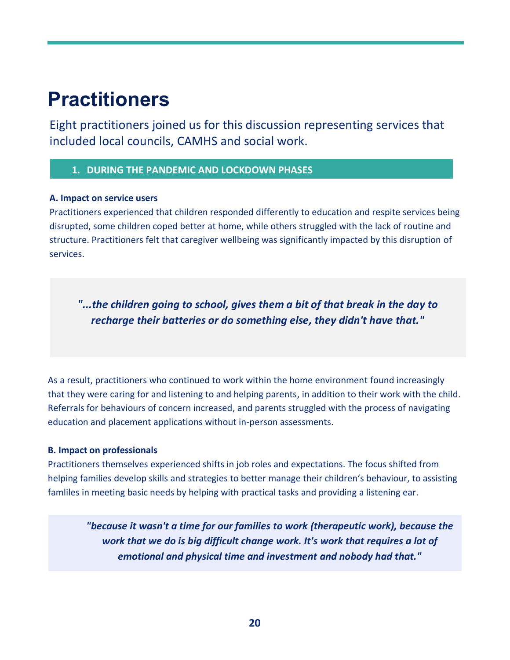## **Practitioners**

Eight practitioners joined us for this discussion representing services that included local councils, CAMHS and social work.

#### **1. DURING THE PANDEMIC AND LOCKDOWN PHASES**

#### **A. Impact on service users**

Practitioners experienced that children responded differently to education and respite services being disrupted, some children coped better at home, while others struggled with the lack of routine and structure. Practitioners felt that caregiver wellbeing was significantly impacted by this disruption of services.

*"...the children going to school, gives them a bit of that break in the day to recharge their batteries or do something else, they didn't have that."*

As a result, practitioners who continued to work within the home environment found increasingly that they were caring for and listening to and helping parents, in addition to their work with the child. Referrals for behaviours of concern increased, and parents struggled with the process of navigating education and placement applications without in-person assessments.

#### **B. Impact on professionals**

Practitioners themselves experienced shifts in job roles and expectations. The focus shifted from helping families develop skills and strategies to better manage their children's behaviour, to assisting famliles in meeting basic needs by helping with practical tasks and providing a listening ear.

*"because it wasn't a time for our families to work (therapeutic work), because the work that we do is big difficult change work. It's work that requires a lot of emotional and physical time and investment and nobody had that."*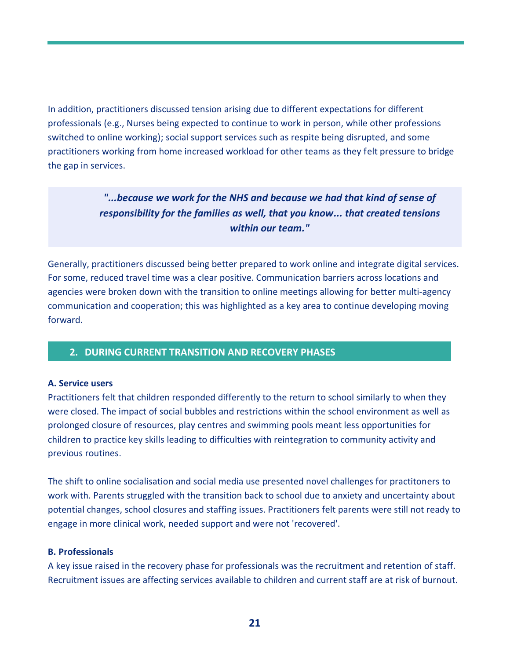In addition, practitioners discussed tension arising due to different expectations for different professionals (e.g., Nurses being expected to continue to work in person, while other professions switched to online working); social support services such as respite being disrupted, and some practitioners working from home increased workload for other teams as they felt pressure to bridge the gap in services.

> *"...because we work for the NHS and because we had that kind of sense of responsibility for the families as well, that you know... that created tensions within our team."*

Generally, practitioners discussed being better prepared to work online and integrate digital services. For some, reduced travel time was a clear positive. Communication barriers across locations and agencies were broken down with the transition to online meetings allowing for better multi-agency communication and cooperation; this was highlighted as a key area to continue developing moving forward.

#### **2. DURING CURRENT TRANSITION AND RECOVERY PHASES**

#### **A. Service users**

Practitioners felt that children responded differently to the return to school similarly to when they were closed. The impact of social bubbles and restrictions within the school environment as well as prolonged closure of resources, play centres and swimming pools meant less opportunities for children to practice key skills leading to difficulties with reintegration to community activity and previous routines.

The shift to online socialisation and social media use presented novel challenges for practitoners to work with. Parents struggled with the transition back to school due to anxiety and uncertainty about potential changes, school closures and staffing issues. Practitioners felt parents were still not ready to engage in more clinical work, needed support and were not 'recovered'.

#### **B. Professionals**

A key issue raised in the recovery phase for professionals was the recruitment and retention of staff. Recruitment issues are affecting services available to children and current staff are at risk of burnout.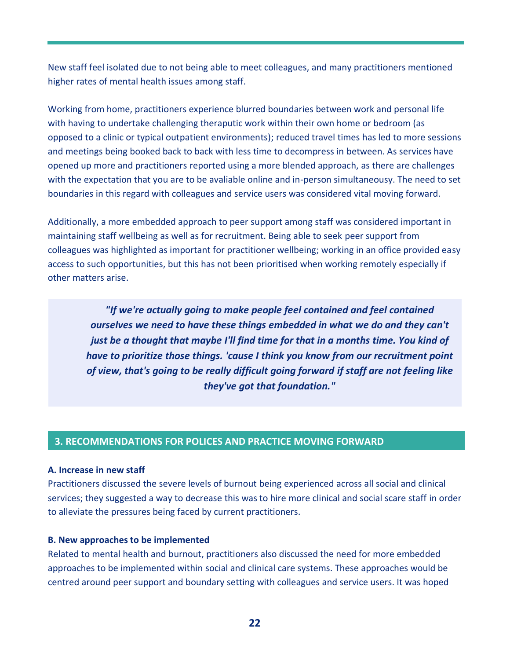New staff feel isolated due to not being able to meet colleagues, and many practitioners mentioned higher rates of mental health issues among staff.

Working from home, practitioners experience blurred boundaries between work and personal life with having to undertake challenging theraputic work within their own home or bedroom (as opposed to a clinic or typical outpatient environments); reduced travel times has led to more sessions and meetings being booked back to back with less time to decompress in between. As services have opened up more and practitioners reported using a more blended approach, as there are challenges with the expectation that you are to be avaliable online and in-person simultaneousy. The need to set boundaries in this regard with colleagues and service users was considered vital moving forward.

Additionally, a more embedded approach to peer support among staff was considered important in maintaining staff wellbeing as well as for recruitment. Being able to seek peer support from colleagues was highlighted as important for practitioner wellbeing; working in an office provided easy access to such opportunities, but this has not been prioritised when working remotely especially if other matters arise.

*"If we're actually going to make people feel contained and feel contained ourselves we need to have these things embedded in what we do and they can't just be a thought that maybe I'll find time for that in a months time. You kind of have to prioritize those things. 'cause I think you know from our recruitment point of view, that's going to be really difficult going forward if staff are not feeling like they've got that foundation."*

#### **3. RECOMMENDATIONS FOR POLICES AND PRACTICE MOVING FORWARD**

#### **A. Increase in new staff**

Practitioners discussed the severe levels of burnout being experienced across all social and clinical services; they suggested a way to decrease this was to hire more clinical and social scare staff in order to alleviate the pressures being faced by current practitioners.

#### **B. New approaches to be implemented**

Related to mental health and burnout, practitioners also discussed the need for more embedded approaches to be implemented within social and clinical care systems. These approaches would be centred around peer support and boundary setting with colleagues and service users. It was hoped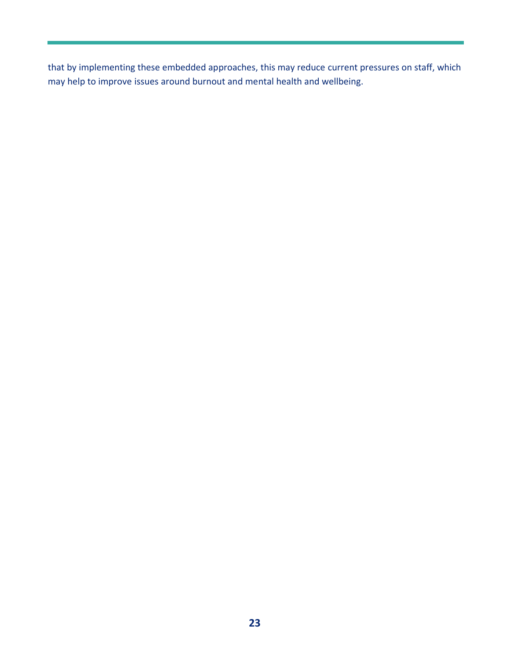that by implementing these embedded approaches, this may reduce current pressures on staff, which may help to improve issues around burnout and mental health and wellbeing.